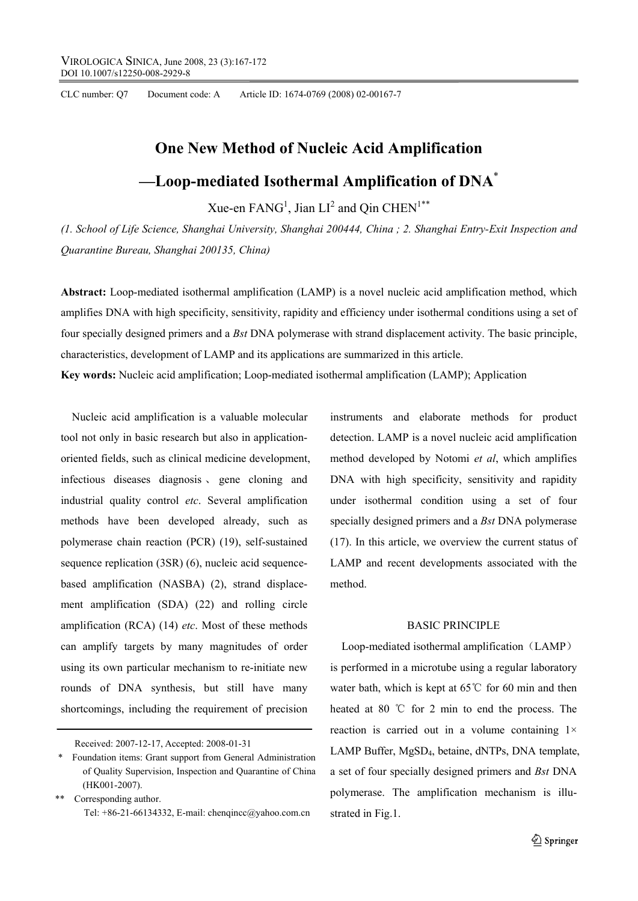CLC number: Q7 Document code: A Article ID: 1674-0769 (2008) 02-00167-7

# **One New Method of Nucleic Acid Amplification**

# **—Loop-mediated Isothermal Amplification of DNA**\*

Xue-en  $FANG<sup>1</sup>$ , Jian  $LI<sup>2</sup>$  and Qin  $CHEN<sup>1**</sup>$ </sup>

*(1. School of Life Science, Shanghai University, Shanghai 200444, China ; 2. Shanghai Entry-Exit Inspection and Quarantine Bureau, Shanghai 200135, China)* 

**Abstract:** Loop-mediated isothermal amplification (LAMP) is a novel nucleic acid amplification method, which amplifies DNA with high specificity, sensitivity, rapidity and efficiency under isothermal conditions using a set of four specially designed primers and a *Bst* DNA polymerase with strand displacement activity. The basic principle, characteristics, development of LAMP and its applications are summarized in this article.

**Key words:** Nucleic acid amplification; Loop-mediated isothermal amplification (LAMP); Application

Nucleic acid amplification is a valuable molecular tool not only in basic research but also in applicationoriented fields, such as clinical medicine development, infectious diseases diagnosis 、 gene cloning and industrial quality control *etc*. Several amplification methods have been developed already, such as polymerase chain reaction (PCR) (19), self-sustained sequence replication (3SR) (6), nucleic acid sequencebased amplification (NASBA) (2), strand displacement amplification (SDA) (22) and rolling circle amplification (RCA) (14) *etc*. Most of these methods can amplify targets by many magnitudes of order using its own particular mechanism to re-initiate new rounds of DNA synthesis, but still have many shortcomings, including the requirement of precision

Received: 2007-12-17, Accepted: 2008-01-31

\*\* Corresponding author. Tel: +86-21-66134332, E-mail: chenqincc@yahoo.com.cn instruments and elaborate methods for product detection. LAMP is a novel nucleic acid amplification method developed by Notomi *et al*, which amplifies DNA with high specificity, sensitivity and rapidity under isothermal condition using a set of four specially designed primers and a *Bst* DNA polymerase (17). In this article, we overview the current status of LAMP and recent developments associated with the method.

# BASIC PRINCIPLE

Loop-mediated isothermal amplification (LAMP) is performed in a microtube using a regular laboratory water bath, which is kept at 65℃ for 60 min and then heated at 80 ℃ for 2 min to end the process. The reaction is carried out in a volume containing  $1 \times$ LAMP Buffer, MgSD4, betaine, dNTPs, DNA template, a set of four specially designed primers and *Bst* DNA polymerase. The amplification mechanism is illustrated in Fig.1.

<sup>\*</sup> Foundation items: Grant support from General Administration of Quality Supervision, Inspection and Quarantine of China (HK001-2007).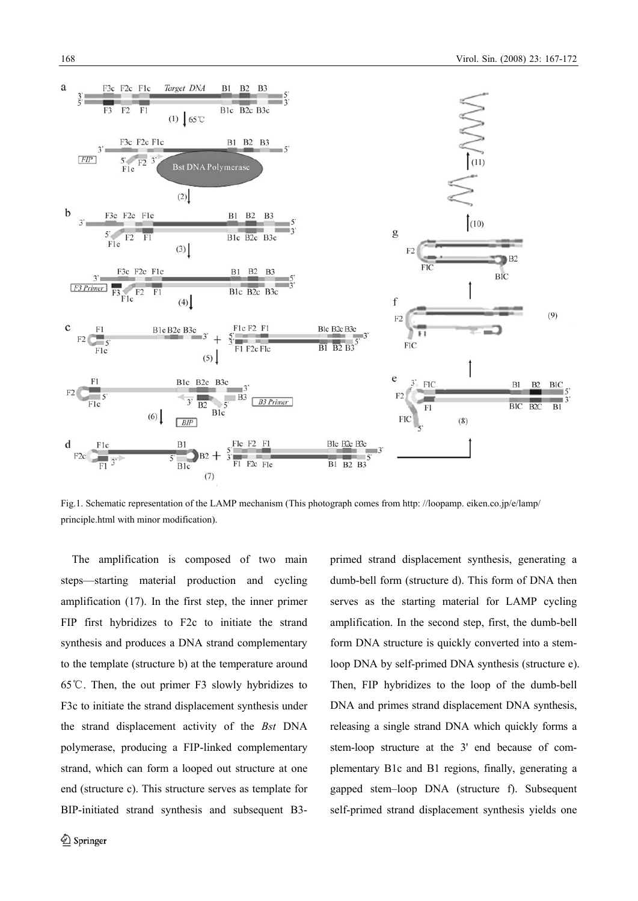

Fig.1. Schematic representation of the LAMP mechanism (This photograph comes from http: //loopamp. eiken.co.jp/e/lamp/ principle.html with minor modification).

The amplification is composed of two main steps—starting material production and cycling amplification (17). In the first step, the inner primer FIP first hybridizes to F2c to initiate the strand synthesis and produces a DNA strand complementary to the template (structure b) at the temperature around 65℃. Then, the out primer F3 slowly hybridizes to F3c to initiate the strand displacement synthesis under the strand displacement activity of the *Bst* DNA polymerase, producing a FIP-linked complementary strand, which can form a looped out structure at one end (structure c). This structure serves as template for BIP-initiated strand synthesis and subsequent B3-

 $\textcircled{2}$  Springer

primed strand displacement synthesis, generating a dumb-bell form (structure d). This form of DNA then serves as the starting material for LAMP cycling amplification. In the second step, first, the dumb-bell form DNA structure is quickly converted into a stemloop DNA by self-primed DNA synthesis (structure e). Then, FIP hybridizes to the loop of the dumb-bell DNA and primes strand displacement DNA synthesis, releasing a single strand DNA which quickly forms a stem-loop structure at the 3' end because of complementary B1c and B1 regions, finally, generating a gapped stem–loop DNA (structure f). Subsequent self-primed strand displacement synthesis yields one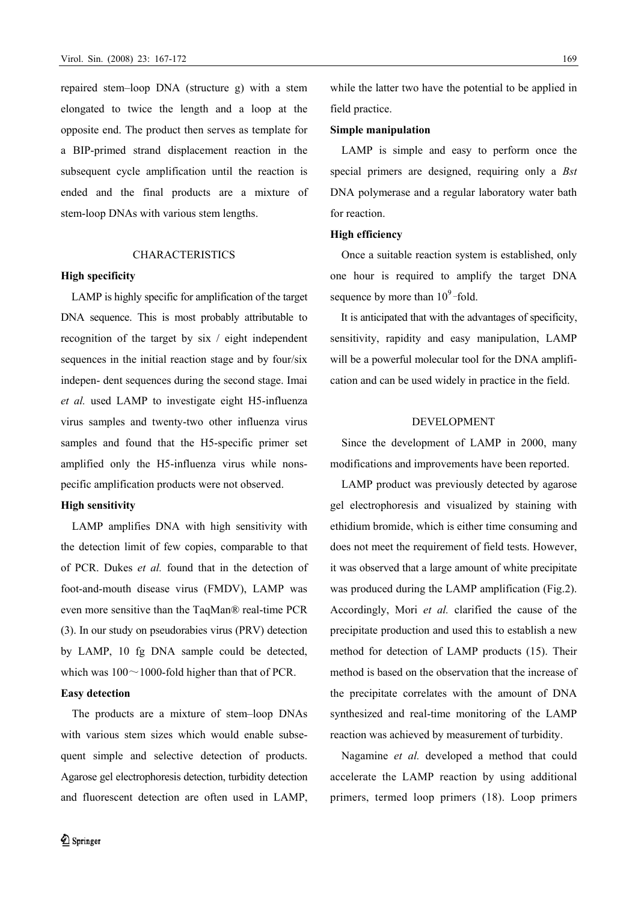repaired stem–loop DNA (structure g) with a stem elongated to twice the length and a loop at the opposite end. The product then serves as template for a BIP-primed strand displacement reaction in the subsequent cycle amplification until the reaction is ended and the final products are a mixture of stem-loop DNAs with various stem lengths.

#### **CHARACTERISTICS**

#### **High specificity**

LAMP is highly specific for amplification of the target DNA sequence. This is most probably attributable to recognition of the target by six / eight independent sequences in the initial reaction stage and by four/six indepen- dent sequences during the second stage. Imai *et al.* used LAMP to investigate eight H5-influenza virus samples and twenty-two other influenza virus samples and found that the H5-specific primer set amplified only the H5-influenza virus while nonspecific amplification products were not observed.

#### **High sensitivity**

LAMP amplifies DNA with high sensitivity with the detection limit of few copies, comparable to that of PCR. Dukes *et al.* found that in the detection of foot-and-mouth disease virus (FMDV), LAMP was even more sensitive than the TaqMan® real-time PCR (3). In our study on pseudorabies virus (PRV) detection by LAMP, 10 fg DNA sample could be detected, which was  $100 \sim 1000$ -fold higher than that of PCR.

# **Easy detection**

The products are a mixture of stem–loop DNAs with various stem sizes which would enable subsequent simple and selective detection of products. Agarose gel electrophoresis detection, turbidity detection and fluorescent detection are often used in LAMP, while the latter two have the potential to be applied in field practice.

#### **Simple manipulation**

LAMP is simple and easy to perform once the special primers are designed, requiring only a *Bst* DNA polymerase and a regular laboratory water bath for reaction.

#### **High efficiency**

Once a suitable reaction system is established, only one hour is required to amplify the target DNA sequence by more than  $10^9$ -fold.

It is anticipated that with the advantages of specificity, sensitivity, rapidity and easy manipulation, LAMP will be a powerful molecular tool for the DNA amplification and can be used widely in practice in the field.

#### DEVELOPMENT

Since the development of LAMP in 2000, many modifications and improvements have been reported.

LAMP product was previously detected by agarose gel electrophoresis and visualized by staining with ethidium bromide, which is either time consuming and does not meet the requirement of field tests. However, it was observed that a large amount of white precipitate was produced during the LAMP amplification (Fig.2). Accordingly, Mori *et al.* clarified the cause of the precipitate production and used this to establish a new method for detection of LAMP products (15). Their method is based on the observation that the increase of the precipitate correlates with the amount of DNA synthesized and real-time monitoring of the LAMP reaction was achieved by measurement of turbidity.

Nagamine *et al.* developed a method that could accelerate the LAMP reaction by using additional primers, termed loop primers (18). Loop primers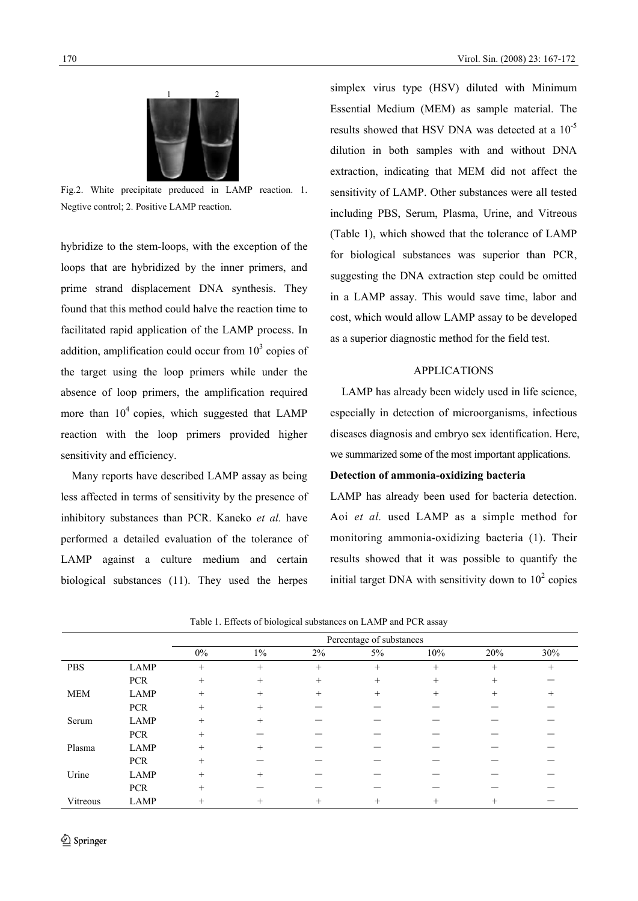

Fig.2. White precipitate preduced in LAMP reaction. 1. Negtive control; 2. Positive LAMP reaction.

hybridize to the stem-loops, with the exception of the loops that are hybridized by the inner primers, and prime strand displacement DNA synthesis. They found that this method could halve the reaction time to facilitated rapid application of the LAMP process. In addition, amplification could occur from  $10<sup>3</sup>$  copies of the target using the loop primers while under the absence of loop primers, the amplification required more than  $10<sup>4</sup>$  copies, which suggested that LAMP reaction with the loop primers provided higher sensitivity and efficiency.

Many reports have described LAMP assay as being less affected in terms of sensitivity by the presence of inhibitory substances than PCR. Kaneko *et al.* have performed a detailed evaluation of the tolerance of LAMP against a culture medium and certain biological substances (11). They used the herpes

simplex virus type (HSV) diluted with Minimum Essential Medium (MEM) as sample material. The results showed that HSV DNA was detected at a 10<sup>-5</sup> dilution in both samples with and without DNA extraction, indicating that MEM did not affect the sensitivity of LAMP. Other substances were all tested including PBS, Serum, Plasma, Urine, and Vitreous (Table 1), which showed that the tolerance of LAMP for biological substances was superior than PCR, suggesting the DNA extraction step could be omitted in a LAMP assay. This would save time, labor and cost, which would allow LAMP assay to be developed as a superior diagnostic method for the field test.

# APPLICATIONS

 LAMP has already been widely used in life science, especially in detection of microorganisms, infectious diseases diagnosis and embryo sex identification. Here, we summarized some of the most important applications.

# **Detection of ammonia-oxidizing bacteria**

LAMP has already been used for bacteria detection. Aoi *et al.* used LAMP as a simple method for monitoring ammonia-oxidizing bacteria (1). Their results showed that it was possible to quantify the initial target DNA with sensitivity down to  $10^2$  copies

|            |             | Percentage of substances |        |        |        |        |        |        |
|------------|-------------|--------------------------|--------|--------|--------|--------|--------|--------|
|            |             | $0\%$                    | $1\%$  | 2%     | 5%     | 10%    | 20%    | 30%    |
| <b>PBS</b> | LAMP        | $^{+}$                   | $^{+}$ | $^{+}$ | $^{+}$ | $^{+}$ | $^{+}$ | $^{+}$ |
|            | <b>PCR</b>  | $^{+}$                   | $^{+}$ | $^{+}$ | $^+$   | $^{+}$ | $^{+}$ |        |
| <b>MEM</b> | LAMP        | $^{+}$                   | $^{+}$ | $^{+}$ | $^{+}$ | $^{+}$ | $^{+}$ | $^{+}$ |
|            | <b>PCR</b>  | $^{+}$                   | $+$    |        |        |        |        |        |
| Serum      | LAMP        | $^{+}$                   | $^{+}$ |        |        |        |        |        |
|            | <b>PCR</b>  | $^{+}$                   |        |        |        |        |        |        |
| Plasma     | LAMP        | $^{+}$                   |        |        |        |        |        |        |
|            | <b>PCR</b>  | $^{+}$                   |        |        |        |        |        |        |
| Urine      | LAMP        | $^{+}$                   |        |        |        |        |        |        |
|            | <b>PCR</b>  | $^{+}$                   |        |        |        |        |        |        |
| Vitreous   | <b>LAMP</b> | $^{+}$                   | $^{+}$ |        |        | +      | $\pm$  |        |

Table 1. Effects of biological substances on LAMP and PCR assay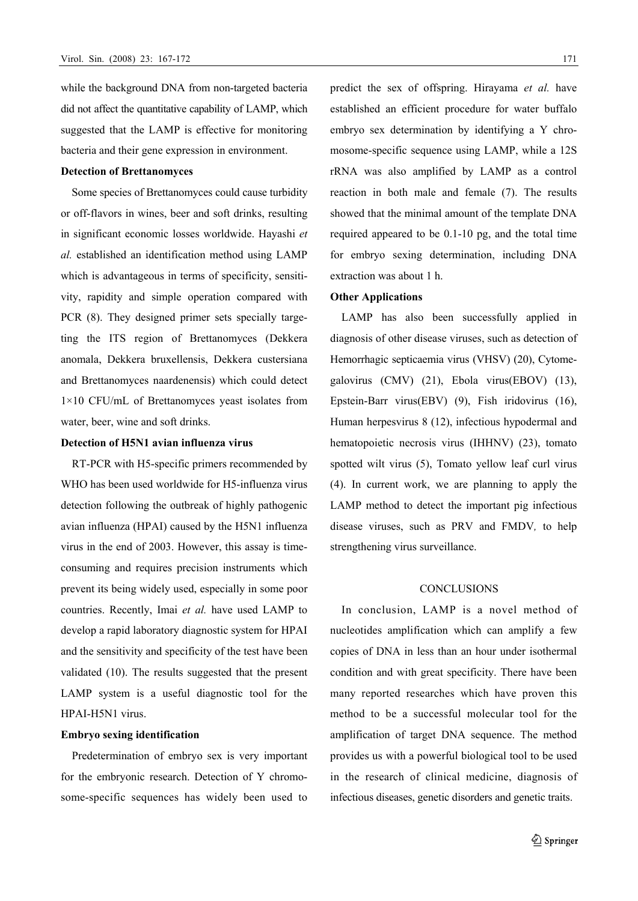while the background DNA from non-targeted bacteria did not affect the quantitative capability of LAMP, which suggested that the LAMP is effective for monitoring bacteria and their gene expression in environment.

## **Detection of Brettanomyces**

Some species of Brettanomyces could cause turbidity or off-flavors in wines, beer and soft drinks, resulting in significant economic losses worldwide. Hayashi *et al.* established an identification method using LAMP which is advantageous in terms of specificity, sensitivity, rapidity and simple operation compared with PCR (8). They designed primer sets specially targeting the ITS region of Brettanomyces (Dekkera anomala, Dekkera bruxellensis, Dekkera custersiana and Brettanomyces naardenensis) which could detect 1×10 CFU/mL of Brettanomyces yeast isolates from water, beer, wine and soft drinks.

# **Detection of H5N1 avian influenza virus**

RT-PCR with H5-specific primers recommended by WHO has been used worldwide for H5-influenza virus detection following the outbreak of highly pathogenic avian influenza (HPAI) caused by the H5N1 influenza virus in the end of 2003. However, this assay is timeconsuming and requires precision instruments which prevent its being widely used, especially in some poor countries. Recently, Imai *et al.* have used LAMP to develop a rapid laboratory diagnostic system for HPAI and the sensitivity and specificity of the test have been validated (10). The results suggested that the present LAMP system is a useful diagnostic tool for the HPAI-H5N1 virus.

### **Embryo sexing identification**

Predetermination of embryo sex is very important for the embryonic research. Detection of Y chromosome-specific sequences has widely been used to predict the sex of offspring. Hirayama *et al.* have established an efficient procedure for water buffalo embryo sex determination by identifying a Y chromosome-specific sequence using LAMP, while a 12S rRNA was also amplified by LAMP as a control reaction in both male and female (7). The results showed that the minimal amount of the template DNA required appeared to be 0.1-10 pg, and the total time for embryo sexing determination, including DNA extraction was about 1 h.

#### **Other Applications**

LAMP has also been successfully applied in diagnosis of other disease viruses, such as detection of Hemorrhagic septicaemia virus (VHSV) (20), Cytomegalovirus (CMV) (21), Ebola virus(EBOV) (13), Epstein-Barr virus(EBV) (9), Fish iridovirus (16), Human herpesvirus 8 (12), infectious hypodermal and hematopoietic necrosis virus (IHHNV) (23), tomato spotted wilt virus (5), Tomato yellow leaf curl virus (4). In current work, we are planning to apply the LAMP method to detect the important pig infectious disease viruses, such as PRV and FMDV*,* to help strengthening virus surveillance.

### **CONCLUSIONS**

In conclusion, LAMP is a novel method of nucleotides amplification which can amplify a few copies of DNA in less than an hour under isothermal condition and with great specificity. There have been many reported researches which have proven this method to be a successful molecular tool for the amplification of target DNA sequence. The method provides us with a powerful biological tool to be used in the research of clinical medicine, diagnosis of infectious diseases, genetic disorders and genetic traits.